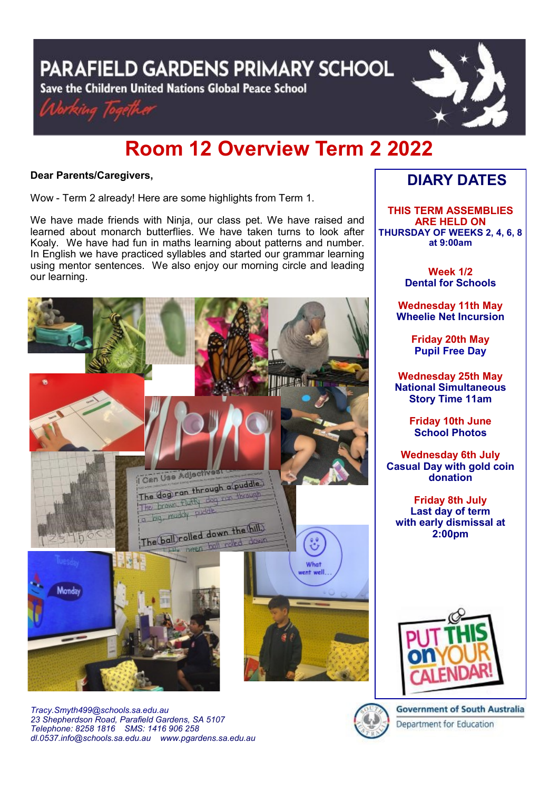**PARAFIELD GARDENS PRIMARY SCHOOL** 

Save the Children United Nations Global Peace School





# **Room 12 Overview Term 2 2022**

## **Dear Parents/Caregivers,**

Wow - Term 2 already! Here are some highlights from Term 1.

We have made friends with Ninja, our class pet. We have raised and learned about monarch butterflies. We have taken turns to look after Koaly. We have had fun in maths learning about patterns and number. In English we have practiced syllables and started our grammar learning using mentor sentences. We also enjoy our morning circle and leading our learning.



*Tracy.Smyth499@schools.sa.edu.au 23 Shepherdson Road, Parafield Gardens, SA 5107 Telephone: 8258 1816 [SMS: 1](http://www.youtube.com/user/ParafieldGR7)416 906 258 dl[.0537.info@schools.sa.edu.au](mailto:dl.0537_info@schools.sa.edu.au) www.pgardens.sa.edu.au*

# **DIARY DATES**

**THIS TERM ASSEMBLIES ARE HELD ON THURSDAY OF WEEKS 2, 4, 6, 8 at 9:00am** 

> **Week 1/2 Dental for Schools**

**Wednesday 11th May Wheelie Net Incursion**

> **Friday 20th May Pupil Free Day**

**Wednesday 25th May National Simultaneous Story Time 11am**

> **Friday 10th June School Photos**

**Wednesday 6th July Casual Day with gold coin donation**

**Friday 8th July Last day of term with early dismissal at 2:00pm**





**Government of South Australia** Department for Education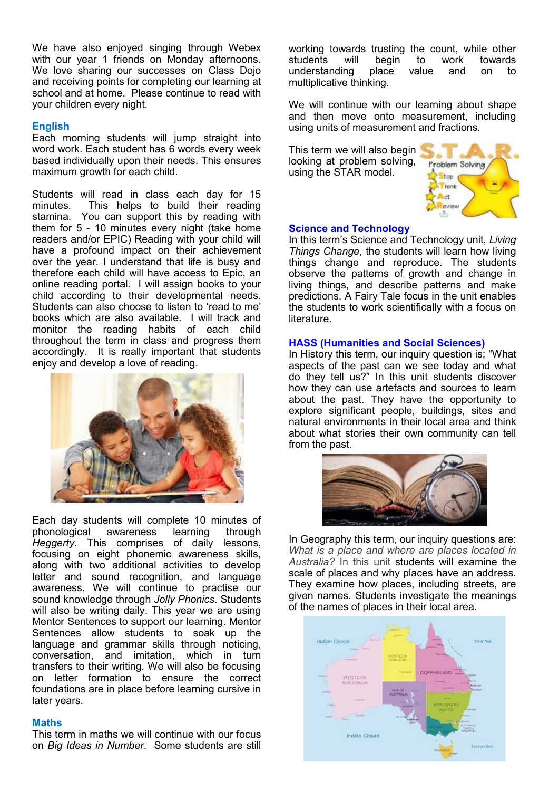We have also enjoyed singing through Webex with our year 1 friends on Monday afternoons. We love sharing our successes on Class Dojo and receiving points for completing our learning at school and at home. Please continue to read with your children every night.

### **English**

Each morning students will jump straight into word work. Each student has 6 words every week based individually upon their needs. This ensures maximum growth for each child.

Students will read in class each day for 15 minutes. This helps to build their reading stamina. You can support this by reading with them for 5 - 10 minutes every night (take home readers and/or EPIC) Reading with your child will have a profound impact on their achievement over the year. I understand that life is busy and therefore each child will have access to Epic, an online reading portal. I will assign books to your child according to their developmental needs. Students can also choose to listen to 'read to me' books which are also available. I will track and monitor the reading habits of each child throughout the term in class and progress them accordingly. It is really important that students enjoy and develop a love of reading.



Each day students will complete 10 minutes of phonological awareness learning through *Heggerty*. This comprises of daily lessons, focusing on eight phonemic awareness skills, along with two additional activities to develop letter and sound recognition, and language awareness. We will continue to practise our sound knowledge through *Jolly Phonics*. Students will also be writing daily. This year we are using Mentor Sentences to support our learning. Mentor Sentences allow students to soak up the language and grammar skills through noticing, conversation, and imitation, which in turn transfers to their writing. We will also be focusing on letter formation to ensure the correct foundations are in place before learning cursive in later years.

#### **Maths**

This term in maths we will continue with our focus on *Big Ideas in Number*. Some students are still working towards trusting the count, while other students will begin to work towards understanding place value and on to multiplicative thinking.

We will continue with our learning about shape and then move onto measurement, including using units of measurement and fractions.

This term we will also begin looking at problem solving, using the STAR model.



#### **Science and Technology**

In this term's Science and Technology unit, *Living Things Change*, the students will learn how living things change and reproduce. The students observe the patterns of growth and change in living things, and describe patterns and make predictions. A Fairy Tale focus in the unit enables the students to work scientifically with a focus on literature.

#### **HASS (Humanities and Social Sciences)**

In History this term, our inquiry question is; "What aspects of the past can we see today and what do they tell us?" In this unit students discover how they can use artefacts and sources to learn about the past. They have the opportunity to explore significant people, buildings, sites and natural environments in their local area and think about what stories their own community can tell from the past.



In Geography this term, our inquiry questions are: *What is a place and where are places located in Australia?* In this unit students will examine the scale of places and why places have an address. They examine how places, including streets, are given names. Students investigate the meanings of the names of places in their local area.